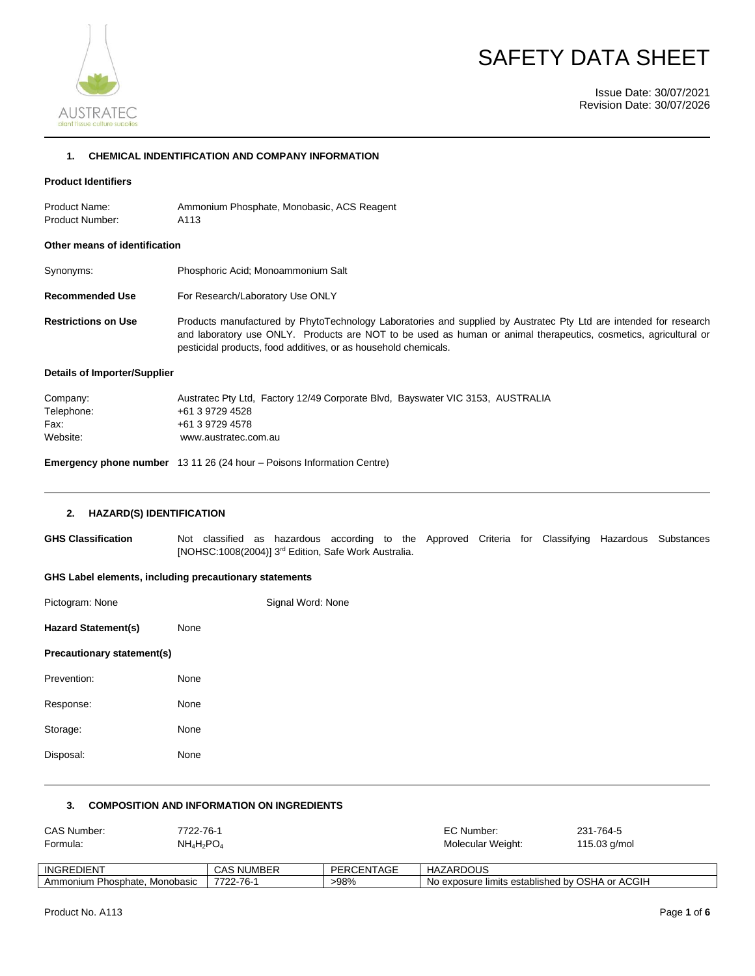



Issue Date: 30/07/2021 Revision Date: 30/07/2026

#### **1. CHEMICAL INDENTIFICATION AND COMPANY INFORMATION**

## **Product Identifiers**

Product Name: Ammonium Phosphate, Monobasic, ACS Reagent Product Number: A113

#### **Other means of identification**

| Synonyms: | Phosphoric Acid; Monoammonium Salt |
|-----------|------------------------------------|
|-----------|------------------------------------|

**Recommended Use** For Research/Laboratory Use ONLY

**Restrictions on Use** Products manufactured by PhytoTechnology Laboratories and supplied by Austratec Pty Ltd are intended for research and laboratory use ONLY. Products are NOT to be used as human or animal therapeutics, cosmetics, agricultural or pesticidal products, food additives, or as household chemicals.

#### **Details of Importer/Supplier**

| Austratec Pty Ltd, Factory 12/49 Corporate Blvd, Bayswater VIC 3153, AUSTRALIA |
|--------------------------------------------------------------------------------|
| +61 3 9729 4528                                                                |
| +61 3 9729 4578                                                                |
| www.austratec.com.au                                                           |
|                                                                                |

**Emergency phone number** 13 11 26 (24 hour – Poisons Information Centre)

#### **2. HAZARD(S) IDENTIFICATION**

**GHS Classification** Not classified as hazardous according to the Approved Criteria for Classifying Hazardous Substances [NOHSC:1008(2004)] 3<sup>rd</sup> Edition, Safe Work Australia.

### **GHS Label elements, including precautionary statements**

| Pictogram: None            |      | Signal Word: None |
|----------------------------|------|-------------------|
| <b>Hazard Statement(s)</b> | None |                   |
| Precautionary statement(s) |      |                   |
| Prevention:                | None |                   |
| Response:                  | None |                   |
| Storage:                   | None |                   |
| Disposal:                  | None |                   |
|                            |      |                   |

#### **3. COMPOSITION AND INFORMATION ON INGREDIENTS**

| CAS Number:                   | 7722-76-1 |                   |            | EC Number:                                      | 231-764-5      |
|-------------------------------|-----------|-------------------|------------|-------------------------------------------------|----------------|
| Formula:                      | NH4H2PO4  |                   |            | Molecular Weight:                               | 115.03 $q/mol$ |
|                               |           |                   |            |                                                 |                |
| INGREDIENT                    |           | <b>CAS NUMBER</b> | PERCENTAGE | <b>HAZARDOUS</b>                                |                |
| Ammonium Phosphate, Monobasic |           | 7722-76-1         | >98%       | No exposure limits established by OSHA or ACGIH |                |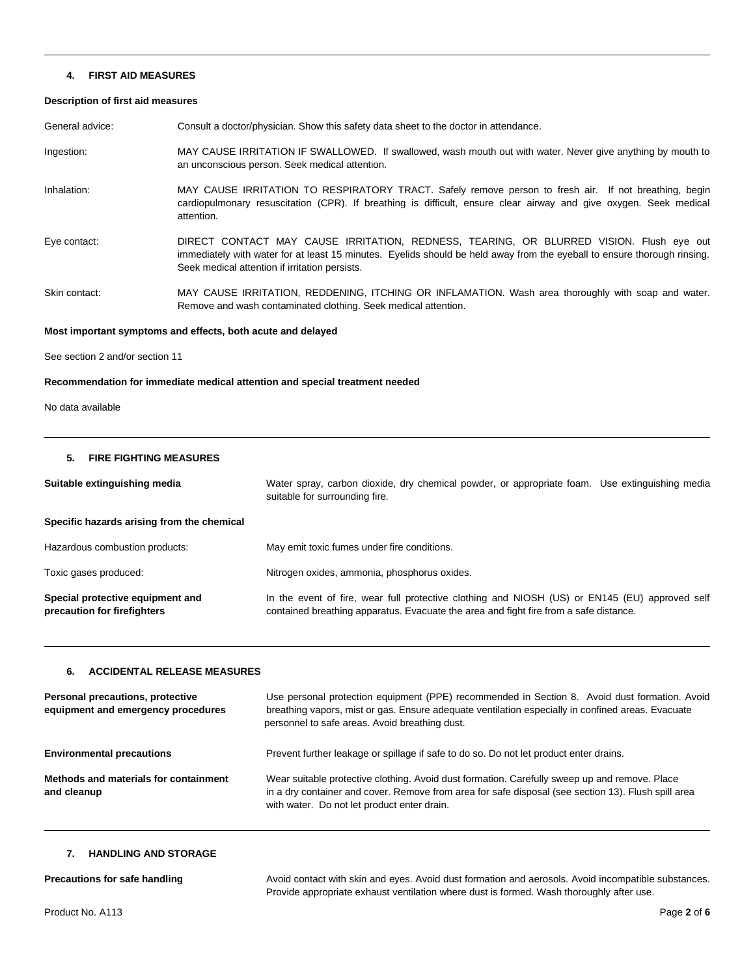#### **4. FIRST AID MEASURES**

#### **Description of first aid measures**

General advice: Consult a doctor/physician. Show this safety data sheet to the doctor in attendance.

Ingestion: MAY CAUSE IRRITATION IF SWALLOWED. If swallowed, wash mouth out with water. Never give anything by mouth to an unconscious person. Seek medical attention.

Inhalation: MAY CAUSE IRRITATION TO RESPIRATORY TRACT. Safely remove person to fresh air. If not breathing, begin cardiopulmonary resuscitation (CPR). If breathing is difficult, ensure clear airway and give oxygen. Seek medical attention.

Eye contact: DIRECT CONTACT MAY CAUSE IRRITATION, REDNESS, TEARING, OR BLURRED VISION. Flush eye out immediately with water for at least 15 minutes. Eyelids should be held away from the eyeball to ensure thorough rinsing. Seek medical attention if irritation persists.

Skin contact: MAY CAUSE IRRITATION, REDDENING, ITCHING OR INFLAMATION. Wash area thoroughly with soap and water. Remove and wash contaminated clothing. Seek medical attention.

#### **Most important symptoms and effects, both acute and delayed**

See section 2 and/or section 11

## **Recommendation for immediate medical attention and special treatment needed**

No data available

#### **5. FIRE FIGHTING MEASURES**

| Suitable extinguishing media                                    | Water spray, carbon dioxide, dry chemical powder, or appropriate foam. Use extinguishing media<br>suitable for surrounding fire.                                                        |  |
|-----------------------------------------------------------------|-----------------------------------------------------------------------------------------------------------------------------------------------------------------------------------------|--|
| Specific hazards arising from the chemical                      |                                                                                                                                                                                         |  |
| Hazardous combustion products:                                  | May emit toxic fumes under fire conditions.                                                                                                                                             |  |
| Toxic gases produced:                                           | Nitrogen oxides, ammonia, phosphorus oxides.                                                                                                                                            |  |
| Special protective equipment and<br>precaution for firefighters | In the event of fire, wear full protective clothing and NIOSH (US) or EN145 (EU) approved self<br>contained breathing apparatus. Evacuate the area and fight fire from a safe distance. |  |

## **6. ACCIDENTAL RELEASE MEASURES**

| Personal precautions, protective<br>equipment and emergency procedures | Use personal protection equipment (PPE) recommended in Section 8. Avoid dust formation. Avoid<br>breathing vapors, mist or gas. Ensure adequate ventilation especially in confined areas. Evacuate<br>personnel to safe areas. Avoid breathing dust. |  |
|------------------------------------------------------------------------|------------------------------------------------------------------------------------------------------------------------------------------------------------------------------------------------------------------------------------------------------|--|
| <b>Environmental precautions</b>                                       | Prevent further leakage or spillage if safe to do so. Do not let product enter drains.                                                                                                                                                               |  |
| Methods and materials for containment<br>and cleanup                   | Wear suitable protective clothing. Avoid dust formation. Carefully sweep up and remove. Place<br>in a dry container and cover. Remove from area for safe disposal (see section 13). Flush spill area<br>with water. Do not let product enter drain.  |  |

## **7. HANDLING AND STORAGE**

**Precautions for safe handling Avoid contact with skin and eyes. Avoid dust formation and aerosols. Avoid incompatible substances.** Provide appropriate exhaust ventilation where dust is formed. Wash thoroughly after use.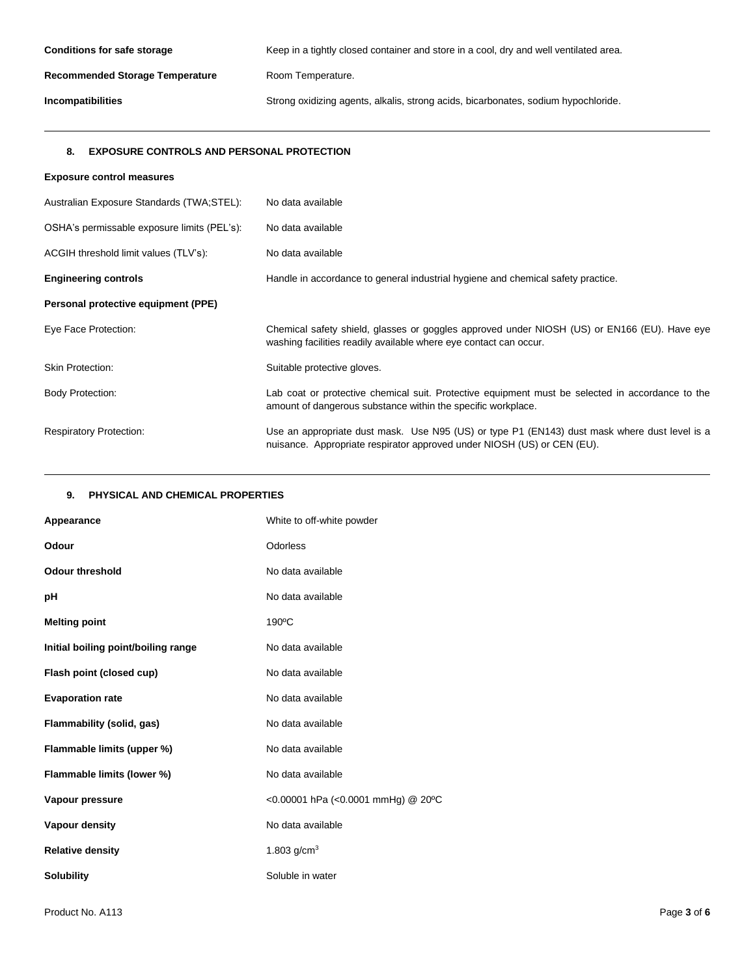| <b>Conditions for safe storage</b>     | Keep in a tightly closed container and store in a cool, dry and well ventilated area. |  |
|----------------------------------------|---------------------------------------------------------------------------------------|--|
| <b>Recommended Storage Temperature</b> | Room Temperature.                                                                     |  |
| Incompatibilities                      | Strong oxidizing agents, alkalis, strong acids, bicarbonates, sodium hypochloride.    |  |

# **8. EXPOSURE CONTROLS AND PERSONAL PROTECTION**

| <b>Exposure control measures</b>            |                                                                                                                                                                          |
|---------------------------------------------|--------------------------------------------------------------------------------------------------------------------------------------------------------------------------|
| Australian Exposure Standards (TWA:STEL):   | No data available                                                                                                                                                        |
| OSHA's permissable exposure limits (PEL's): | No data available                                                                                                                                                        |
| ACGIH threshold limit values (TLV's):       | No data available                                                                                                                                                        |
| <b>Engineering controls</b>                 | Handle in accordance to general industrial hygiene and chemical safety practice.                                                                                         |
| Personal protective equipment (PPE)         |                                                                                                                                                                          |
| Eye Face Protection:                        | Chemical safety shield, glasses or goggles approved under NIOSH (US) or EN166 (EU). Have eye<br>washing facilities readily available where eye contact can occur.        |
| <b>Skin Protection:</b>                     | Suitable protective gloves.                                                                                                                                              |
| <b>Body Protection:</b>                     | Lab coat or protective chemical suit. Protective equipment must be selected in accordance to the<br>amount of dangerous substance within the specific workplace.         |
| <b>Respiratory Protection:</b>              | Use an appropriate dust mask. Use N95 (US) or type P1 (EN143) dust mask where dust level is a<br>nuisance. Appropriate respirator approved under NIOSH (US) or CEN (EU). |

# **9. PHYSICAL AND CHEMICAL PROPERTIES**

| Appearance                          | White to off-white powder          |
|-------------------------------------|------------------------------------|
| Odour                               | Odorless                           |
| <b>Odour threshold</b>              | No data available                  |
| рH                                  | No data available                  |
| <b>Melting point</b>                | $190^{\circ}$ C                    |
| Initial boiling point/boiling range | No data available                  |
| Flash point (closed cup)            | No data available                  |
| <b>Evaporation rate</b>             | No data available                  |
| Flammability (solid, gas)           | No data available                  |
| Flammable limits (upper %)          | No data available                  |
| Flammable limits (lower %)          | No data available                  |
| Vapour pressure                     | <0.00001 hPa (<0.0001 mmHg) @ 20°C |
| Vapour density                      | No data available                  |
| <b>Relative density</b>             | 1.803 $g/cm3$                      |
| <b>Solubility</b>                   | Soluble in water                   |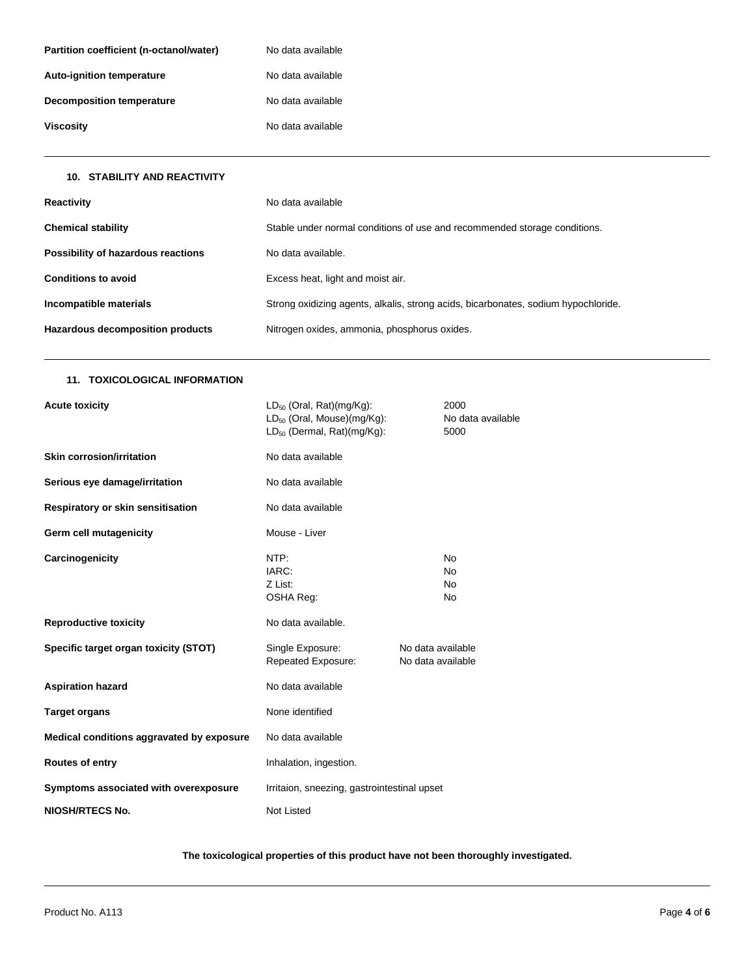| Partition coefficient (n-octanol/water) | No data available |
|-----------------------------------------|-------------------|
| <b>Auto-ignition temperature</b>        | No data available |
| Decomposition temperature               | No data available |
| Viscosity                               | No data available |

## **10. STABILITY AND REACTIVITY**

| Reactivity                         | No data available                                                                  |
|------------------------------------|------------------------------------------------------------------------------------|
| <b>Chemical stability</b>          | Stable under normal conditions of use and recommended storage conditions.          |
| Possibility of hazardous reactions | No data available.                                                                 |
| <b>Conditions to avoid</b>         | Excess heat, light and moist air.                                                  |
| Incompatible materials             | Strong oxidizing agents, alkalis, strong acids, bicarbonates, sodium hypochloride. |
| Hazardous decomposition products   | Nitrogen oxides, ammonia, phosphorus oxides.                                       |

# **11. TOXICOLOGICAL INFORMATION**

| <b>Acute toxicity</b>                     | $LD_{50}$ (Oral, Rat)(mg/Kg):<br>LD <sub>50</sub> (Oral, Mouse)(mg/Kg):<br>$LD_{50}$ (Dermal, Rat)(mg/Kg): |                                        | 2000<br>No data available<br>5000 |  |  |
|-------------------------------------------|------------------------------------------------------------------------------------------------------------|----------------------------------------|-----------------------------------|--|--|
| <b>Skin corrosion/irritation</b>          | No data available                                                                                          |                                        |                                   |  |  |
| Serious eye damage/irritation             | No data available                                                                                          |                                        |                                   |  |  |
| Respiratory or skin sensitisation         | No data available                                                                                          |                                        |                                   |  |  |
| Germ cell mutagenicity                    | Mouse - Liver                                                                                              |                                        |                                   |  |  |
| Carcinogenicity                           | NTP:<br>IARC:<br>Z List:<br>OSHA Reg:                                                                      |                                        | No<br>No<br>No<br>No              |  |  |
| <b>Reproductive toxicity</b>              | No data available.                                                                                         |                                        |                                   |  |  |
| Specific target organ toxicity (STOT)     | Single Exposure:<br>Repeated Exposure:                                                                     | No data available<br>No data available |                                   |  |  |
| <b>Aspiration hazard</b>                  | No data available                                                                                          |                                        |                                   |  |  |
| <b>Target organs</b>                      | None identified                                                                                            |                                        |                                   |  |  |
| Medical conditions aggravated by exposure | No data available                                                                                          |                                        |                                   |  |  |
| Routes of entry                           | Inhalation, ingestion.                                                                                     |                                        |                                   |  |  |
| Symptoms associated with overexposure     | Irritaion, sneezing, gastrointestinal upset                                                                |                                        |                                   |  |  |
| <b>NIOSH/RTECS No.</b>                    | Not Listed                                                                                                 |                                        |                                   |  |  |

**The toxicological properties of this product have not been thoroughly investigated.**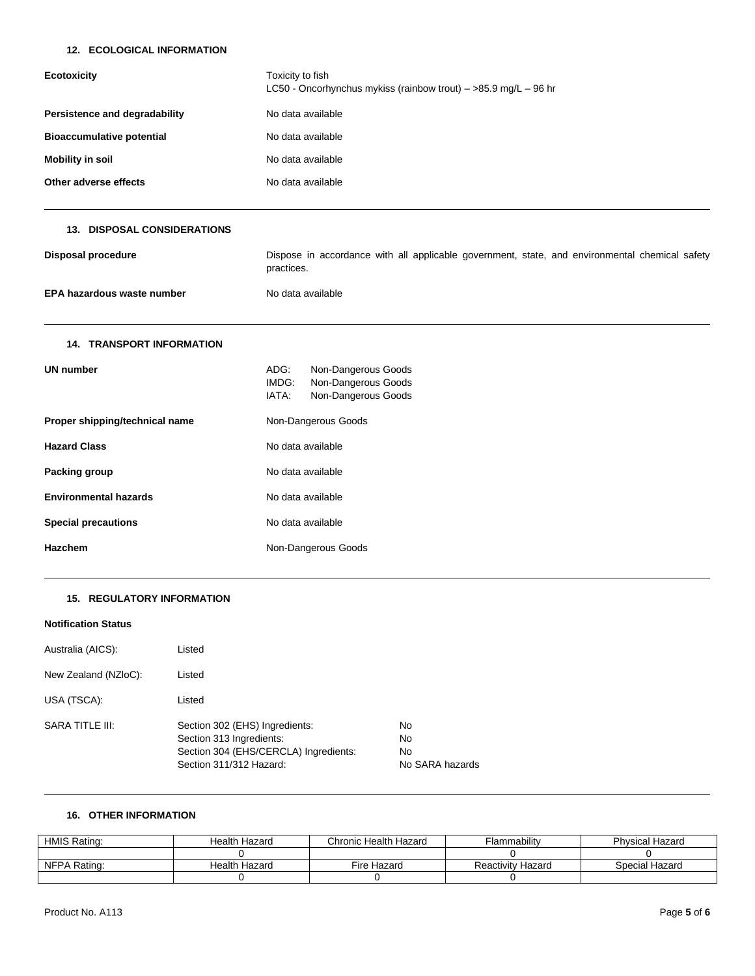# **12. ECOLOGICAL INFORMATION**

| <b>Ecotoxicity</b>                 | Toxicity to fish<br>LC50 - Oncorhynchus mykiss (rainbow trout) $-$ >85.9 mg/L - 96 hr                        |  |  |  |
|------------------------------------|--------------------------------------------------------------------------------------------------------------|--|--|--|
| Persistence and degradability      | No data available                                                                                            |  |  |  |
| <b>Bioaccumulative potential</b>   | No data available                                                                                            |  |  |  |
| <b>Mobility in soil</b>            | No data available                                                                                            |  |  |  |
| Other adverse effects              | No data available                                                                                            |  |  |  |
| <b>13. DISPOSAL CONSIDERATIONS</b> |                                                                                                              |  |  |  |
| <b>Disposal procedure</b>          | Dispose in accordance with all applicable government, state, and environmental chemical safety<br>practices. |  |  |  |
| EPA hazardous waste number         | No data available                                                                                            |  |  |  |
| <b>14. TRANSPORT INFORMATION</b>   |                                                                                                              |  |  |  |
| <b>UN number</b>                   | ADG:<br>Non-Dangerous Goods<br>IMDG:<br>Non-Dangerous Goods<br>IATA:<br>Non-Dangerous Goods                  |  |  |  |
| Proper shipping/technical name     | Non-Dangerous Goods                                                                                          |  |  |  |
| <b>Hazard Class</b>                | No data available                                                                                            |  |  |  |
| Packing group                      | No data available                                                                                            |  |  |  |
| <b>Environmental hazards</b>       | No data available                                                                                            |  |  |  |
| <b>Special precautions</b>         | No data available                                                                                            |  |  |  |
| <b>Hazchem</b>                     | Non-Dangerous Goods                                                                                          |  |  |  |

## **15. REGULATORY INFORMATION**

# **Notification Status**

| Australia (AICS):    | Listed                                                                                                                         |                                   |
|----------------------|--------------------------------------------------------------------------------------------------------------------------------|-----------------------------------|
| New Zealand (NZIoC): | Listed                                                                                                                         |                                   |
| USA (TSCA):          | Listed                                                                                                                         |                                   |
| SARA TITLE III:      | Section 302 (EHS) Ingredients:<br>Section 313 Ingredients:<br>Section 304 (EHS/CERCLA) Ingredients:<br>Section 311/312 Hazard: | No<br>No<br>No<br>No SARA hazards |

# **16. OTHER INFORMATION**

| HMIS Rating: | Health Hazard | Chronic Health Hazard | <b>Flammability</b>      | <b>Physical Hazard</b> |
|--------------|---------------|-----------------------|--------------------------|------------------------|
|              |               |                       |                          |                        |
| NFPA Rating: | Health Hazard | Fire Hazard           | <b>Reactivity Hazard</b> | Special Hazard         |
|              |               |                       |                          |                        |